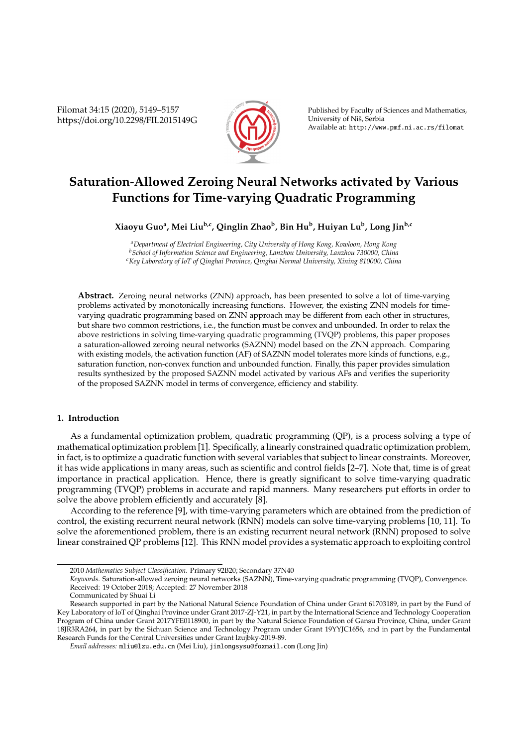Filomat 34:15 (2020), 5149–5157 https://doi.org/10.2298/FIL2015149G



Published by Faculty of Sciences and Mathematics, University of Niš, Serbia Available at: http://www.pmf.ni.ac.rs/filomat

# **Saturation-Allowed Zeroing Neural Networks activated by Various Functions for Time-varying Quadratic Programming**

## **Xiaoyu Guo<sup>a</sup> , Mei Liub,c, Qinglin Zhao<sup>b</sup> , Bin Hu<sup>b</sup> , Huiyan Lu<sup>b</sup> , Long Jinb,c**

*<sup>a</sup>Department of Electrical Engineering, City University of Hong Kong, Kowloon, Hong Kong <sup>b</sup>School of Information Science and Engineering, Lanzhou University, Lanzhou 730000, China <sup>c</sup>Key Laboratory of IoT of Qinghai Province, Qinghai Normal University, Xining 810000, China*

**Abstract.** Zeroing neural networks (ZNN) approach, has been presented to solve a lot of time-varying problems activated by monotonically increasing functions. However, the existing ZNN models for timevarying quadratic programming based on ZNN approach may be different from each other in structures, but share two common restrictions, i.e., the function must be convex and unbounded. In order to relax the above restrictions in solving time-varying quadratic programming (TVQP) problems, this paper proposes a saturation-allowed zeroing neural networks (SAZNN) model based on the ZNN approach. Comparing with existing models, the activation function (AF) of SAZNN model tolerates more kinds of functions, e.g., saturation function, non-convex function and unbounded function. Finally, this paper provides simulation results synthesized by the proposed SAZNN model activated by various AFs and verifies the superiority of the proposed SAZNN model in terms of convergence, efficiency and stability.

#### **1. Introduction**

As a fundamental optimization problem, quadratic programming (QP), is a process solving a type of mathematical optimization problem [1]. Specifically, a linearly constrained quadratic optimization problem, in fact, is to optimize a quadratic function with several variables that subject to linear constraints. Moreover, it has wide applications in many areas, such as scientific and control fields [2–7]. Note that, time is of great importance in practical application. Hence, there is greatly significant to solve time-varying quadratic programming (TVQP) problems in accurate and rapid manners. Many researchers put efforts in order to solve the above problem efficiently and accurately [8].

According to the reference [9], with time-varying parameters which are obtained from the prediction of control, the existing recurrent neural network (RNN) models can solve time-varying problems [10, 11]. To solve the aforementioned problem, there is an existing recurrent neural network (RNN) proposed to solve linear constrained QP problems [12]. This RNN model provides a systematic approach to exploiting control

<sup>2010</sup> *Mathematics Subject Classification*. Primary 92B20; Secondary 37N40

*Keywords*. Saturation-allowed zeroing neural networks (SAZNN), Time-varying quadratic programming (TVQP), Convergence. Received: 19 October 2018; Accepted: 27 November 2018

Communicated by Shuai Li

Research supported in part by the National Natural Science Foundation of China under Grant 61703189, in part by the Fund of Key Laboratory of IoT of Qinghai Province under Grant 2017-ZJ-Y21, in part by the International Science and Technology Cooperation Program of China under Grant 2017YFE0118900, in part by the Natural Science Foundation of Gansu Province, China, under Grant 18JR3RA264, in part by the Sichuan Science and Technology Program under Grant 19YYJC1656, and in part by the Fundamental Research Funds for the Central Universities under Grant lzujbky-2019-89.

*Email addresses:* mliu@lzu.edu.cn (Mei Liu), jinlongsysu@foxmail.com (Long Jin)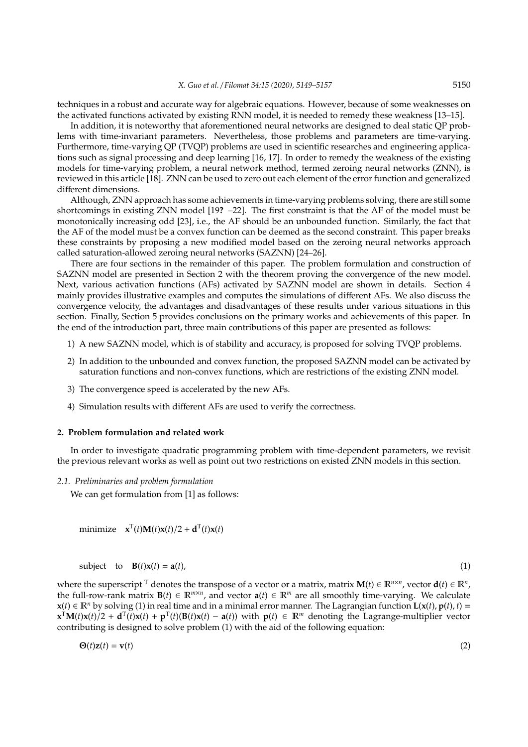techniques in a robust and accurate way for algebraic equations. However, because of some weaknesses on the activated functions activated by existing RNN model, it is needed to remedy these weakness [13–15].

In addition, it is noteworthy that aforementioned neural networks are designed to deal static QP problems with time-invariant parameters. Nevertheless, those problems and parameters are time-varying. Furthermore, time-varying QP (TVQP) problems are used in scientific researches and engineering applications such as signal processing and deep learning [16, 17]. In order to remedy the weakness of the existing models for time-varying problem, a neural network method, termed zeroing neural networks (ZNN), is reviewed in this article [18]. ZNN can be used to zero out each element of the error function and generalized different dimensions.

Although, ZNN approach has some achievements in time-varying problems solving, there are still some shortcomings in existing ZNN model [19**?** –22]. The first constraint is that the AF of the model must be monotonically increasing odd [23], i.e., the AF should be an unbounded function. Similarly, the fact that the AF of the model must be a convex function can be deemed as the second constraint. This paper breaks these constraints by proposing a new modified model based on the zeroing neural networks approach called saturation-allowed zeroing neural networks (SAZNN) [24–26].

There are four sections in the remainder of this paper. The problem formulation and construction of SAZNN model are presented in Section 2 with the theorem proving the convergence of the new model. Next, various activation functions (AFs) activated by SAZNN model are shown in details. Section 4 mainly provides illustrative examples and computes the simulations of different AFs. We also discuss the convergence velocity, the advantages and disadvantages of these results under various situations in this section. Finally, Section 5 provides conclusions on the primary works and achievements of this paper. In the end of the introduction part, three main contributions of this paper are presented as follows:

- 1) A new SAZNN model, which is of stability and accuracy, is proposed for solving TVQP problems.
- 2) In addition to the unbounded and convex function, the proposed SAZNN model can be activated by saturation functions and non-convex functions, which are restrictions of the existing ZNN model.
- 3) The convergence speed is accelerated by the new AFs.
- 4) Simulation results with different AFs are used to verify the correctness.

#### **2. Problem formulation and related work**

In order to investigate quadratic programming problem with time-dependent parameters, we revisit the previous relevant works as well as point out two restrictions on existed ZNN models in this section.

*2.1. Preliminaries and problem formulation*

We can get formulation from [1] as follows:

minimize  $\mathbf{x}^{\mathrm{T}}(t)\mathbf{M}(t)\mathbf{x}(t)/2 + \mathbf{d}^{\mathrm{T}}(t)\mathbf{x}(t)$ 

$$
subject \t\tb \t\tB(t)x(t) = a(t), \t\t(1)
$$

where the superscript <sup>T</sup> denotes the transpose of a vector or a matrix, matrix  $M(t) \in \mathbb{R}^{n \times n}$ , vector  $d(t) \in \mathbb{R}^n$ , the full-row-rank matrix **B**(*t*) ∈  $\mathbb{R}^{m \times n}$ , and vector **a**(*t*) ∈  $\mathbb{R}^m$  are all smoothly time-varying. We calculate **x**(*t*) ∈  $\mathbb{R}^n$  by solving (1) in real time and in a minimal error manner. The Lagrangian function  $\mathbf{L}(\mathbf{x}(t), \mathbf{p}(t), t) =$  $\mathbf{x}^{\mathrm{T}}\mathbf{M}(t)\mathbf{x}(t)/2 + \mathbf{d}^{\mathrm{T}}(t)\mathbf{x}(t) + \mathbf{p}^{\mathrm{T}}(t)(\mathbf{B}(t)\mathbf{x}(t) - \mathbf{a}(t))$  with  $\mathbf{p}(t) \in \mathbb{R}^m$  denoting the Lagrange-multiplier vector contributing is designed to solve problem (1) with the aid of the following equation:

$$
\mathbf{\Theta}(t)\mathbf{z}(t) = \mathbf{v}(t) \tag{2}
$$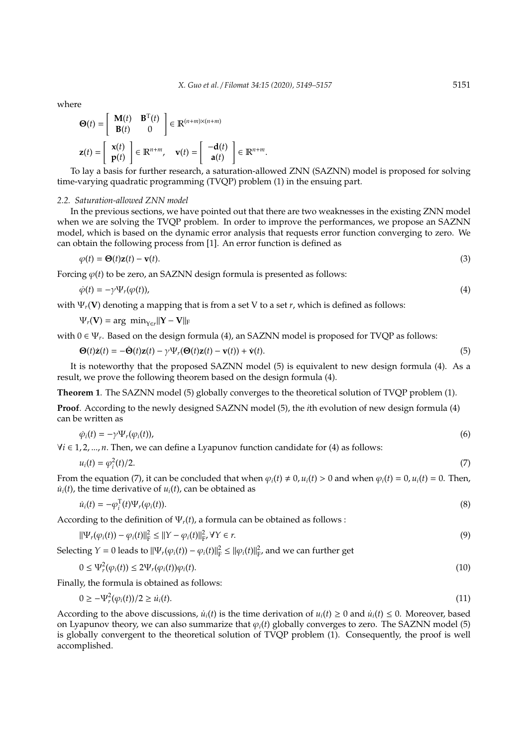where

$$
\Theta(t) = \begin{bmatrix} \mathbf{M}(t) & \mathbf{B}^{\mathrm{T}}(t) \\ \mathbf{B}(t) & 0 \end{bmatrix} \in \mathbb{R}^{(n+m)\times(n+m)}
$$

$$
\mathbf{z}(t) = \begin{bmatrix} \mathbf{x}(t) \\ \mathbf{p}(t) \end{bmatrix} \in \mathbb{R}^{n+m}, \quad \mathbf{v}(t) = \begin{bmatrix} -\mathbf{d}(t) \\ \mathbf{a}(t) \end{bmatrix} \in \mathbb{R}^{n+m}.
$$

To lay a basis for further research, a saturation-allowed ZNN (SAZNN) model is proposed for solving time-varying quadratic programming (TVQP) problem (1) in the ensuing part.

#### *2.2. Saturation-allowed ZNN model*

In the previous sections, we have pointed out that there are two weaknesses in the existing ZNN model when we are solving the TVQP problem. In order to improve the performances, we propose an SAZNN model, which is based on the dynamic error analysis that requests error function converging to zero. We can obtain the following process from [1]. An error function is defined as

$$
\varphi(t) = \Theta(t)\mathbf{z}(t) - \mathbf{v}(t). \tag{3}
$$

Forcing  $\varphi(t)$  to be zero, an SAZNN design formula is presented as follows:

$$
\dot{\varphi}(t) = -\gamma \Psi_r(\varphi(t)),\tag{4}
$$

with Ψ*r*(**V**) denoting a mapping that is from a set V to a set *r*, which is defined as follows:

$$
\Psi_r(\mathbf{V}) = \arg\ \text{min}_{Y \in r} ||\mathbf{Y} - \mathbf{V}||_F
$$

with 0 ∈  $\Psi_r$ . Based on the design formula (4), an SAZNN model is proposed for TVQP as follows:

$$
\mathbf{\Theta}(t)\dot{\mathbf{z}}(t) = -\dot{\mathbf{\Theta}}(t)\mathbf{z}(t) - \gamma \Psi_r(\mathbf{\Theta}(t)\mathbf{z}(t) - \mathbf{v}(t)) + \dot{\mathbf{v}}(t).
$$
\n(5)

It is noteworthy that the proposed SAZNN model (5) is equivalent to new design formula (4). As a result, we prove the following theorem based on the design formula (4).

**Theorem 1**. The SAZNN model (5) globally converges to the theoretical solution of TVQP problem (1).

**Proof**. According to the newly designed SAZNN model (5), the *i*th evolution of new design formula (4) can be written as

$$
\dot{\varphi}_i(t) = -\gamma \Psi_r(\varphi_i(t)),
$$
\n
$$
\forall i \in 1, 2, ..., n.
$$
 Then, we can define a Lyapunov function candidate for (4) as follows:

$$
u_i(t) = \varphi_i^2(t)/2. \tag{7}
$$

From the equation (7), it can be concluded that when  $\varphi_i(t) \neq 0$ ,  $u_i(t) > 0$  and when  $\varphi_i(t) = 0$ ,  $u_i(t) = 0$ . Then,  $\dot{u}_i(t)$ , the time derivative of  $u_i(t)$ , can be obtained as

$$
\dot{u}_i(t) = -\varphi_i^{\mathrm{T}}(t)\Psi_r(\varphi_i(t)).\tag{8}
$$

According to the definition of  $\Psi_r(t)$ , a formula can be obtained as follows :

$$
||\Psi_r(\varphi_i(t)) - \varphi_i(t)||^2_F \le ||Y - \varphi_i(t)||^2_F, \forall Y \in r.
$$
\n(9)

Selecting *Y* = 0 leads to  $||\Psi_r(\varphi_i(t)) - \varphi_i(t)||^2_F \le ||\varphi_i(t)||^2_F$ , and we can further get

$$
0 \le \Psi_r^2(\varphi_i(t)) \le 2\Psi_r(\varphi_i(t))\varphi_i(t). \tag{10}
$$

Finally, the formula is obtained as follows:

$$
0 \ge -\Psi_r^2(\varphi_i(t))/2 \ge \dot{u}_i(t). \tag{11}
$$

According to the above discussions,  $\dot{u}_i(t)$  is the time derivation of  $u_i(t) \geq 0$  and  $\dot{u}_i(t) \leq 0$ . Moreover, based on Lyapunov theory, we can also summarize that  $\varphi_i(t)$  globally converges to zero. The SAZNN model (5) is globally convergent to the theoretical solution of TVQP problem (1). Consequently, the proof is well accomplished.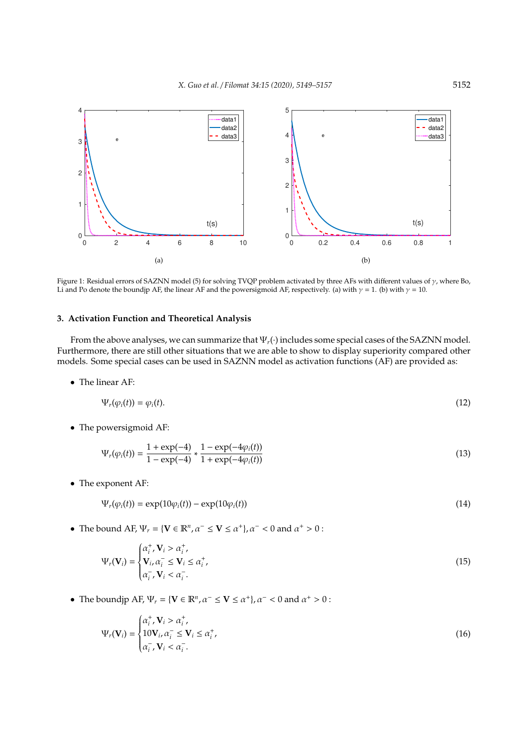

Figure 1: Residual errors of SAZNN model (5) for solving TVQP problem activated by three AFs with different values of γ, where Bo, Li and Po denote the boundjp AF, the linear AF and the powersigmoid AF, respectively. (a) with  $\gamma = 1$ . (b) with  $\gamma = 10$ .

#### **3. Activation Function and Theoretical Analysis**

From the above analyses, we can summarize that Ψ*r*(·) includes some special cases of the SAZNN model. Furthermore, there are still other situations that we are able to show to display superiority compared other models. Some special cases can be used in SAZNN model as activation functions (AF) are provided as:

• The linear AF:

$$
\Psi_r(\varphi_i(t)) = \varphi_i(t). \tag{12}
$$

• The powersigmoid AF:

$$
\Psi_r(\varphi_i(t)) = \frac{1 + \exp(-4)}{1 - \exp(-4)} * \frac{1 - \exp(-4\varphi_i(t))}{1 + \exp(-4\varphi_i(t))}
$$
\n(13)

• The exponent AF:

$$
\Psi_r(\varphi_i(t)) = \exp(10\varphi_i(t)) - \exp(10\varphi_i(t)) \tag{14}
$$

• The bound AF,  $\Psi_r = \{ V \in \mathbb{R}^n, \alpha^- \le V \le \alpha^+ \}, \alpha^- < 0 \text{ and } \alpha^+ > 0$ :

$$
\Psi_r(\mathbf{V}_i) = \begin{cases} \alpha_i^+, \mathbf{V}_i > \alpha_i^+, \\ \mathbf{V}_i, \alpha_i^- \le \mathbf{V}_i \le \alpha_i^+, \\ \alpha_i^-, \mathbf{V}_i < \alpha_i^-. \end{cases}
$$
(15)

• The boundjp AF,  $\Psi_r = \{ \mathbf{V} \in \mathbb{R}^n, \alpha^- \leq \mathbf{V} \leq \alpha^+ \}, \alpha^- < 0 \text{ and } \alpha^+ > 0$ :

$$
\Psi_r(\mathbf{V}_i) = \begin{cases} \alpha_i^+, \mathbf{V}_i > \alpha_i^+, \\ 10\mathbf{V}_i, \alpha_i^- \le \mathbf{V}_i \le \alpha_i^+, \\ \alpha_i^-, \mathbf{V}_i < \alpha_i^-. \end{cases}
$$
(16)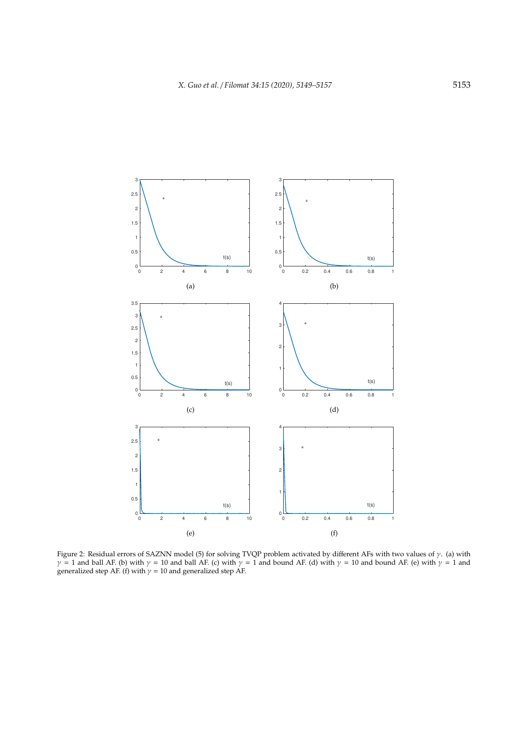

Figure 2: Residual errors of SAZNN model (5) for solving TVQP problem activated by different AFs with two values of  $\gamma$ . (a) with  $\gamma$  = 1 and ball AF. (b) with  $\gamma$  = 10 and ball AF. (c) with  $\gamma$  = 1 and bound AF. (d) with  $\gamma$  = 10 and bound AF. (e) with  $\gamma$  = 1 and generalized step AF. (f) with  $\gamma = 10$  and generalized step AF.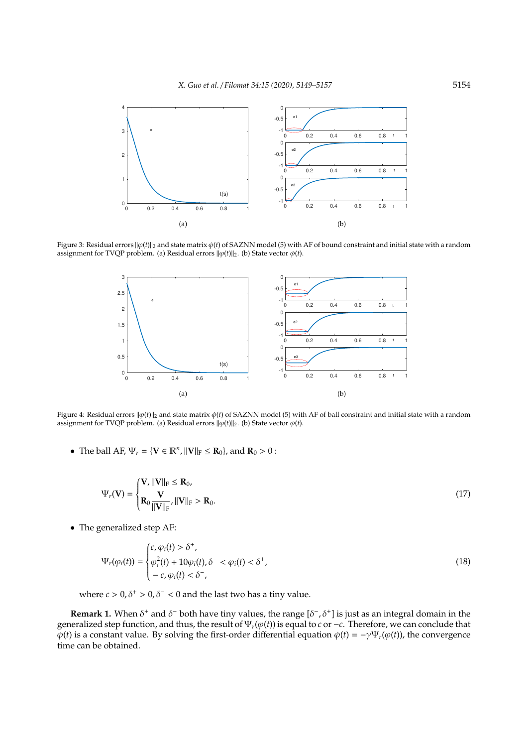

Figure 3: Residual errors  $\|\varphi(t)\|_2$  and state matrix  $\dot{\varphi}(t)$  of SAZNN model (5) with AF of bound constraint and initial state with a random assignment for TVQP problem. (a) Residual errors  $\|\varphi(t)\|_2$ . (b) State vector  $\varphi(t)$ .



Figure 4: Residual errors  $\|\varphi(t)\|_2$  and state matrix  $\varphi(t)$  of SAZNN model (5) with AF of ball constraint and initial state with a random assignment for TVQP problem. (a) Residual errors  $\|\varphi(t)\|_2$ . (b) State vector  $\varphi(t)$ .

• The ball AF,  $\Psi_r = {\bf{V}} \in \mathbb{R}^n$ ,  $||{\bf{V}}||_F \le {\bf{R}}_0$ , and  ${\bf{R}}_0 > 0$ :

$$
\Psi_r(\mathbf{V}) = \begin{cases} \mathbf{V}, \|\mathbf{V}\|_{\mathrm{F}} \leq \mathbf{R}_0, \\ \mathbf{R}_0 \frac{\mathbf{V}}{\|\mathbf{V}\|_{\mathrm{F}}} , \|\mathbf{V}\|_{\mathrm{F}} > \mathbf{R}_0. \end{cases}
$$
(17)

• The generalized step AF:

$$
\Psi_r(\varphi_i(t)) = \begin{cases} c, \varphi_i(t) > \delta^+, \\ \varphi_i^2(t) + 10\varphi_i(t), \delta^- < \varphi_i(t) < \delta^+, \\ -c, \varphi_i(t) < \delta^-, \end{cases}
$$
\n(18)

where  $c > 0$ ,  $\delta^+ > 0$ ,  $\delta^- < 0$  and the last two has a tiny value.

**Remark 1.** When  $\delta^+$  and  $\delta^-$  both have tiny values, the range  $[\delta^-, \delta^+]$  is just as an integral domain in the generalized step function, and thus, the result of Ψ*r*(ϕ(*t*)) is equal to *c* or −*c*. Therefore, we can conclude that  $\dot{\varphi}(t)$  is a constant value. By solving the first-order differential equation  $\dot{\varphi}(t) = -\gamma \Psi_r(\varphi(t))$ , the convergence time can be obtained.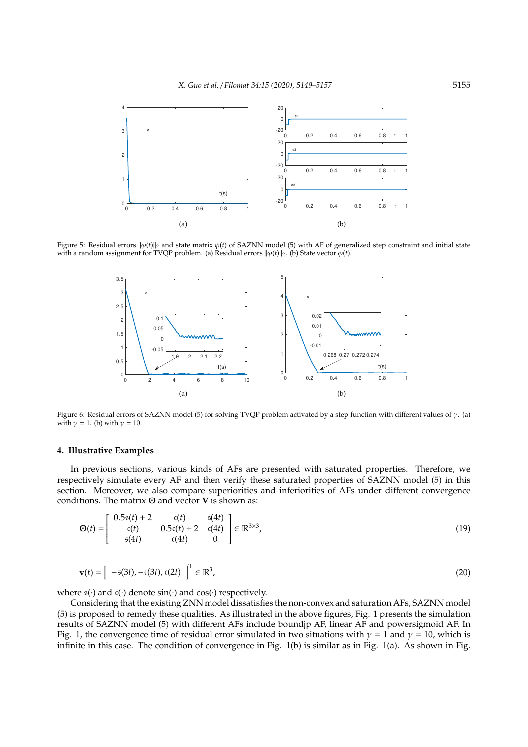

Figure 5: Residual errors  $\|\varphi(t)\|_2$  and state matrix  $\dot{\varphi}(t)$  of SAZNN model (5) with AF of generalized step constraint and initial state with a random assignment for TVQP problem. (a) Residual errors  $||\varphi(t)||_2$ . (b) State vector  $\varphi(t)$ .



Figure 6: Residual errors of SAZNN model (5) for solving TVQP problem activated by a step function with different values of  $\gamma$ . (a) with  $\gamma = 1$ . (b) with  $\gamma = 10$ .

### **4. Illustrative Examples**

In previous sections, various kinds of AFs are presented with saturated properties. Therefore, we respectively simulate every AF and then verify these saturated properties of SAZNN model (5) in this section. Moreover, we also compare superiorities and inferiorities of AFs under different convergence conditions. The matrix Θ and vector **V** is shown as:

$$
\Theta(t) = \begin{bmatrix} 0.5\mathfrak{s}(t) + 2 & \mathfrak{c}(t) & \mathfrak{s}(4t) \\ \mathfrak{c}(t) & 0.5\mathfrak{c}(t) + 2 & \mathfrak{c}(4t) \\ \mathfrak{s}(4t) & \mathfrak{c}(4t) & 0 \end{bmatrix} \in \mathbb{R}^{3 \times 3},
$$
(19)

$$
\mathbf{v}(t) = \left[ -\mathfrak{s}(3t), -\mathfrak{c}(3t), \mathfrak{c}(2t) \right]^{\mathrm{T}} \in \mathbb{R}^3,
$$
\n(20)

where  $s(\cdot)$  and  $c(\cdot)$  denote  $sin(\cdot)$  and  $cos(\cdot)$  respectively.

Considering that the existing ZNN model dissatisfies the non-convex and saturation AFs, SAZNN model (5) is proposed to remedy these qualities. As illustrated in the above figures, Fig. 1 presents the simulation results of SAZNN model (5) with different AFs include boundjp AF, linear AF and powersigmoid AF. In Fig. 1, the convergence time of residual error simulated in two situations with  $\gamma = 1$  and  $\gamma = 10$ , which is infinite in this case. The condition of convergence in Fig. 1(b) is similar as in Fig. 1(a). As shown in Fig.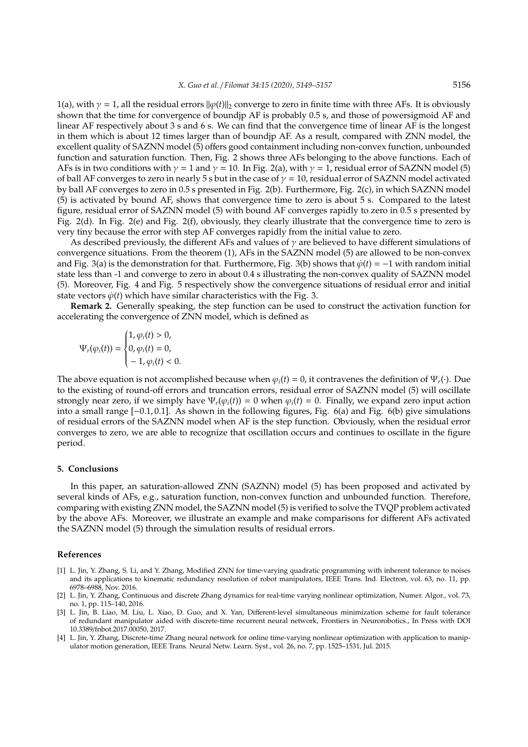1(a), with  $\gamma = 1$ , all the residual errors  $\|\varphi(t)\|_2$  converge to zero in finite time with three AFs. It is obviously shown that the time for convergence of boundjp AF is probably 0.5 s, and those of powersigmoid AF and linear AF respectively about 3 s and 6 s. We can find that the convergence time of linear AF is the longest in them which is about 12 times larger than of boundjp AF. As a result, compared with ZNN model, the excellent quality of SAZNN model (5) offers good containment including non-convex function, unbounded function and saturation function. Then, Fig. 2 shows three AFs belonging to the above functions. Each of AFs is in two conditions with  $\gamma = 1$  and  $\gamma = 10$ . In Fig. 2(a), with  $\gamma = 1$ , residual error of SAZNN model (5) of ball AF converges to zero in nearly 5 s but in the case of  $\gamma = 10$ , residual error of SAZNN model activated by ball AF converges to zero in 0.5 s presented in Fig. 2(b). Furthermore, Fig. 2(c), in which SAZNN model (5) is activated by bound AF, shows that convergence time to zero is about 5 s. Compared to the latest figure, residual error of SAZNN model (5) with bound AF converges rapidly to zero in 0.5 s presented by Fig. 2(d). In Fig. 2(e) and Fig. 2(f), obviously, they clearly illustrate that the convergence time to zero is very tiny because the error with step AF converges rapidly from the initial value to zero.

As described previously, the different AFs and values of  $\gamma$  are believed to have different simulations of convergence situations. From the theorem (1), AFs in the SAZNN model (5) are allowed to be non-convex and Fig. 3(a) is the demonstration for that. Furthermore, Fig. 3(b) shows that  $\varphi(t) = -1$  with random initial state less than -1 and converge to zero in about 0.4 s illustrating the non-convex quality of SAZNN model (5). Moreover, Fig. 4 and Fig. 5 respectively show the convergence situations of residual error and initial state vectors  $\dot{\varphi}(t)$  which have similar characteristics with the Fig. 3.

**Remark 2.** Generally speaking, the step function can be used to construct the activation function for accelerating the convergence of ZNN model, which is defined as

$$
\Psi_r(\varphi_i(t)) = \begin{cases} 1, \varphi_i(t) > 0, \\ 0, \varphi_i(t) = 0, \\ -1, \varphi_i(t) < 0. \end{cases}
$$

The above equation is not accomplished because when  $\varphi_i(t) = 0$ , it contravenes the definition of  $\Psi_r(\cdot)$ . Due to the existing of round-off errors and truncation errors, residual error of SAZNN model (5) will oscillate strongly near zero, if we simply have  $\Psi_r(\varphi_i(t)) = 0$  when  $\varphi_i(t) = 0$ . Finally, we expand zero input action into a small range [−0.1, 0.1]. As shown in the following figures, Fig. 6(a) and Fig. 6(b) give simulations of residual errors of the SAZNN model when AF is the step function. Obviously, when the residual error converges to zero, we are able to recognize that oscillation occurs and continues to oscillate in the figure period.

#### **5. Conclusions**

In this paper, an saturation-allowed ZNN (SAZNN) model (5) has been proposed and activated by several kinds of AFs, e.g., saturation function, non-convex function and unbounded function. Therefore, comparing with existing ZNN model, the SAZNN model (5) is verified to solve the TVQP problem activated by the above AFs. Moreover, we illustrate an example and make comparisons for different AFs activated the SAZNN model (5) through the simulation results of residual errors.

#### **References**

- [1] L. Jin, Y. Zhang, S. Li, and Y. Zhang, Modified ZNN for time-varying quadratic programming with inherent tolerance to noises and its applications to kinematic redundancy resolution of robot manipulators, IEEE Trans. Ind. Electron, vol. 63, no. 11, pp. 6978–6988, Nov. 2016.
- [2] L. Jin, Y. Zhang, Continuous and discrete Zhang dynamics for real-time varying nonlinear optimization, Numer. Algor., vol. 73, no. 1, pp. 115–140, 2016.
- [3] L. Jin, B. Liao, M. Liu, L. Xiao, D. Guo, and X. Yan, Different-level simultaneous minimization scheme for fault tolerance of redundant manipulator aided with discrete-time recurrent neural network, Frontiers in Neurorobotics., In Press with DOI 10.3389/fnbot.2017.00050, 2017.
- [4] L. Jin, Y. Zhang, Discrete-time Zhang neural network for online time-varying nonlinear optimization with application to manipulator motion generation, IEEE Trans. Neural Netw. Learn. Syst., vol. 26, no. 7, pp. 1525–1531, Jul. 2015.